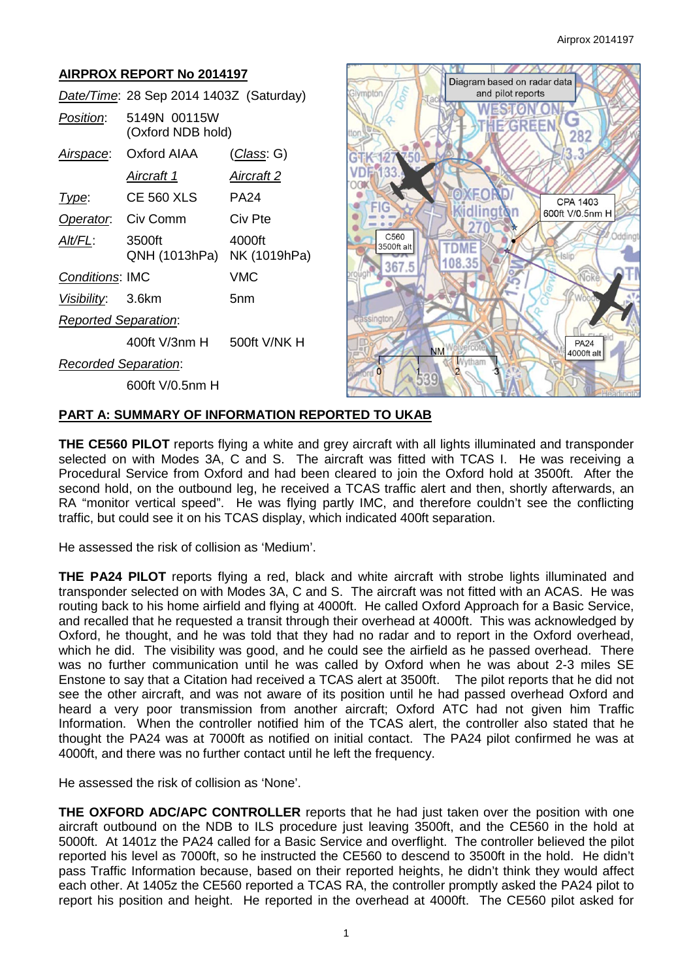#### **AIRPROX REPORT No 2014197** Diagram based on radar data and pilot reports *Date/Time*: 28 Sep 2014 1403Z (Saturday) **WESTON ON** *Position*: 5149N 00115W **EZGREEN** (Oxford NDB hold) 282 *Airspace*: Oxford AIAA (*Class*: G) ๚ฦ 3 *Aircraft 1 Aircraft 2 Type*: CE 560 XLS PA24 **CPA 1403 FIG** idlin Ń 600ft V/0.5nm H *Operator*: Civ Comm Civ Pte e  $27$  $C<sub>560</sub>$ *Alt/FL*: 3500ft 4000ft 3500ft alt **TDME** QNH (1013hPa) NK (1019hPa) **Jelin** 108.35 367.5 *Conditions*: IMC VMC *Visibility*: 3.6km 5nm *Reported Separation*: 400ft V/3nm H 500ft V/NK H **PA24** 4000ft alt *Recorded Separation*: 600ft V/0.5nm H

# **PART A: SUMMARY OF INFORMATION REPORTED TO UKAB**

**THE CE560 PILOT** reports flying a white and grey aircraft with all lights illuminated and transponder selected on with Modes 3A, C and S. The aircraft was fitted with TCAS I. He was receiving a Procedural Service from Oxford and had been cleared to join the Oxford hold at 3500ft. After the second hold, on the outbound leg, he received a TCAS traffic alert and then, shortly afterwards, an RA "monitor vertical speed". He was flying partly IMC, and therefore couldn't see the conflicting traffic, but could see it on his TCAS display, which indicated 400ft separation.

He assessed the risk of collision as 'Medium'.

**THE PA24 PILOT** reports flying a red, black and white aircraft with strobe lights illuminated and transponder selected on with Modes 3A, C and S. The aircraft was not fitted with an ACAS. He was routing back to his home airfield and flying at 4000ft. He called Oxford Approach for a Basic Service, and recalled that he requested a transit through their overhead at 4000ft. This was acknowledged by Oxford, he thought, and he was told that they had no radar and to report in the Oxford overhead, which he did. The visibility was good, and he could see the airfield as he passed overhead. There was no further communication until he was called by Oxford when he was about 2-3 miles SE Enstone to say that a Citation had received a TCAS alert at 3500ft. The pilot reports that he did not see the other aircraft, and was not aware of its position until he had passed overhead Oxford and heard a very poor transmission from another aircraft; Oxford ATC had not given him Traffic Information. When the controller notified him of the TCAS alert, the controller also stated that he thought the PA24 was at 7000ft as notified on initial contact. The PA24 pilot confirmed he was at 4000ft, and there was no further contact until he left the frequency.

He assessed the risk of collision as 'None'.

**THE OXFORD ADC/APC CONTROLLER** reports that he had just taken over the position with one aircraft outbound on the NDB to ILS procedure just leaving 3500ft, and the CE560 in the hold at 5000ft. At 1401z the PA24 called for a Basic Service and overflight. The controller believed the pilot reported his level as 7000ft, so he instructed the CE560 to descend to 3500ft in the hold. He didn't pass Traffic Information because, based on their reported heights, he didn't think they would affect each other. At 1405z the CE560 reported a TCAS RA, the controller promptly asked the PA24 pilot to report his position and height. He reported in the overhead at 4000ft. The CE560 pilot asked for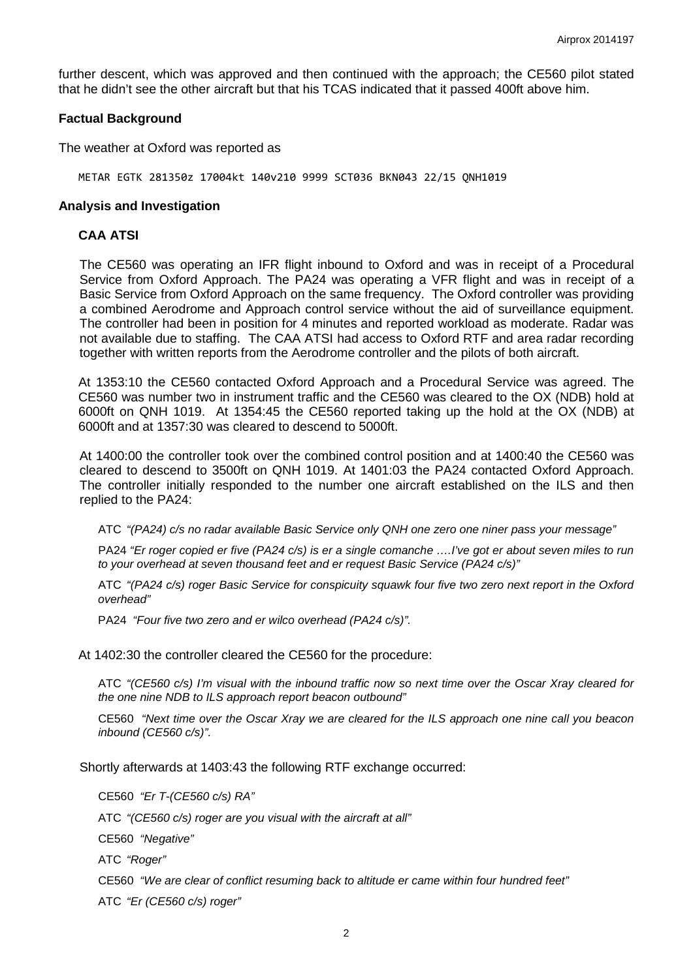further descent, which was approved and then continued with the approach; the CE560 pilot stated that he didn't see the other aircraft but that his TCAS indicated that it passed 400ft above him.

#### **Factual Background**

The weather at Oxford was reported as

METAR EGTK 281350z 17004kt 140v210 9999 SCT036 BKN043 22/15 QNH1019

#### **Analysis and Investigation**

### **CAA ATSI**

The CE560 was operating an IFR flight inbound to Oxford and was in receipt of a Procedural Service from Oxford Approach. The PA24 was operating a VFR flight and was in receipt of a Basic Service from Oxford Approach on the same frequency. The Oxford controller was providing a combined Aerodrome and Approach control service without the aid of surveillance equipment. The controller had been in position for 4 minutes and reported workload as moderate. Radar was not available due to staffing. The CAA ATSI had access to Oxford RTF and area radar recording together with written reports from the Aerodrome controller and the pilots of both aircraft.

At 1353:10 the CE560 contacted Oxford Approach and a Procedural Service was agreed. The CE560 was number two in instrument traffic and the CE560 was cleared to the OX (NDB) hold at 6000ft on QNH 1019. At 1354:45 the CE560 reported taking up the hold at the OX (NDB) at 6000ft and at 1357:30 was cleared to descend to 5000ft.

At 1400:00 the controller took over the combined control position and at 1400:40 the CE560 was cleared to descend to 3500ft on QNH 1019. At 1401:03 the PA24 contacted Oxford Approach. The controller initially responded to the number one aircraft established on the ILS and then replied to the PA24:

ATC *"(PA24) c/s no radar available Basic Service only QNH one zero one niner pass your message"*

PA24 *"Er roger copied er five (PA24 c/s) is er a single comanche ….I've got er about seven miles to run to your overhead at seven thousand feet and er request Basic Service (PA24 c/s)"*

ATC *"(PA24 c/s) roger Basic Service for conspicuity squawk four five two zero next report in the Oxford overhead"*

PA24 *"Four five two zero and er wilco overhead (PA24 c/s)".*

At 1402:30 the controller cleared the CE560 for the procedure:

ATC *"(CE560 c/s) I'm visual with the inbound traffic now so next time over the Oscar Xray cleared for the one nine NDB to ILS approach report beacon outbound"*

CE560 *"Next time over the Oscar Xray we are cleared for the ILS approach one nine call you beacon inbound (CE560 c/s)".*

Shortly afterwards at 1403:43 the following RTF exchange occurred:

CE560 *"Er T-(CE560 c/s) RA"*

ATC *"(CE560 c/s) roger are you visual with the aircraft at all"*

CE560 *"Negative"*

ATC *"Roger"*

CE560 *"We are clear of conflict resuming back to altitude er came within four hundred feet"*

ATC *"Er (CE560 c/s) roger"*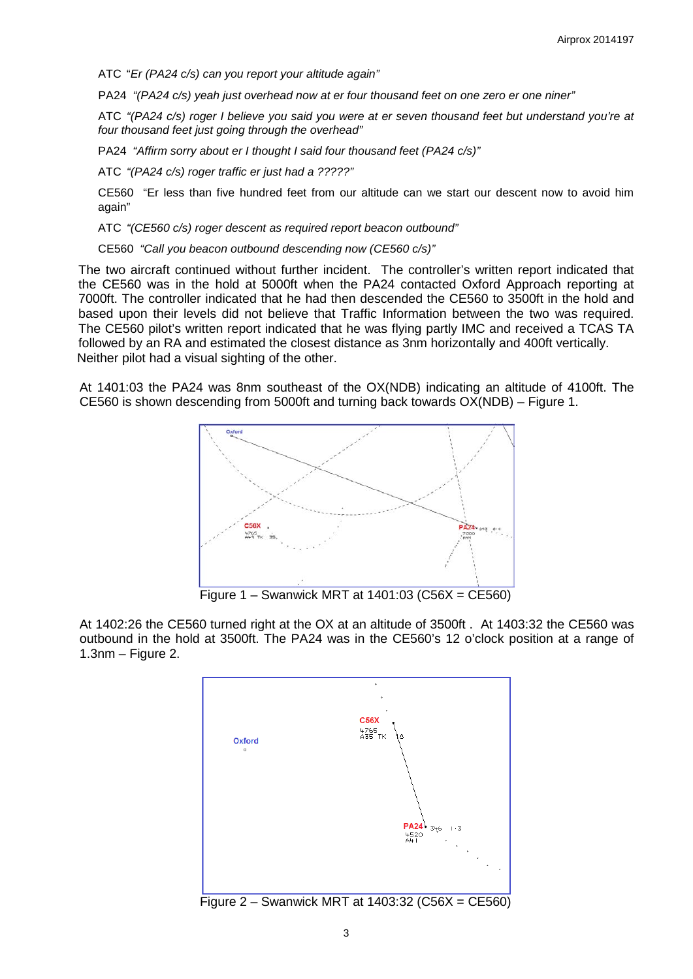ATC "*Er (PA24 c/s) can you report your altitude again"*

PA24 *"(PA24 c/s) yeah just overhead now at er four thousand feet on one zero er one niner"*

ATC *"(PA24 c/s) roger I believe you said you were at er seven thousand feet but understand you're at four thousand feet just going through the overhead"* 

PA24 *"Affirm sorry about er I thought I said four thousand feet (PA24 c/s)"*

ATC *"(PA24 c/s) roger traffic er just had a ?????"*

CE560 "Er less than five hundred feet from our altitude can we start our descent now to avoid him again"

ATC *"(CE560 c/s) roger descent as required report beacon outbound"*

CE560 *"Call you beacon outbound descending now (CE560 c/s)"*

The two aircraft continued without further incident. The controller's written report indicated that the CE560 was in the hold at 5000ft when the PA24 contacted Oxford Approach reporting at 7000ft. The controller indicated that he had then descended the CE560 to 3500ft in the hold and based upon their levels did not believe that Traffic Information between the two was required. The CE560 pilot's written report indicated that he was flying partly IMC and received a TCAS TA followed by an RA and estimated the closest distance as 3nm horizontally and 400ft vertically. Neither pilot had a visual sighting of the other.

At 1401:03 the PA24 was 8nm southeast of the OX(NDB) indicating an altitude of 4100ft. The CE560 is shown descending from 5000ft and turning back towards OX(NDB) – Figure 1.



At 1402:26 the CE560 turned right at the OX at an altitude of 3500ft . At 1403:32 the CE560 was outbound in the hold at 3500ft. The PA24 was in the CE560's 12 o'clock position at a range of 1.3nm – Figure 2.

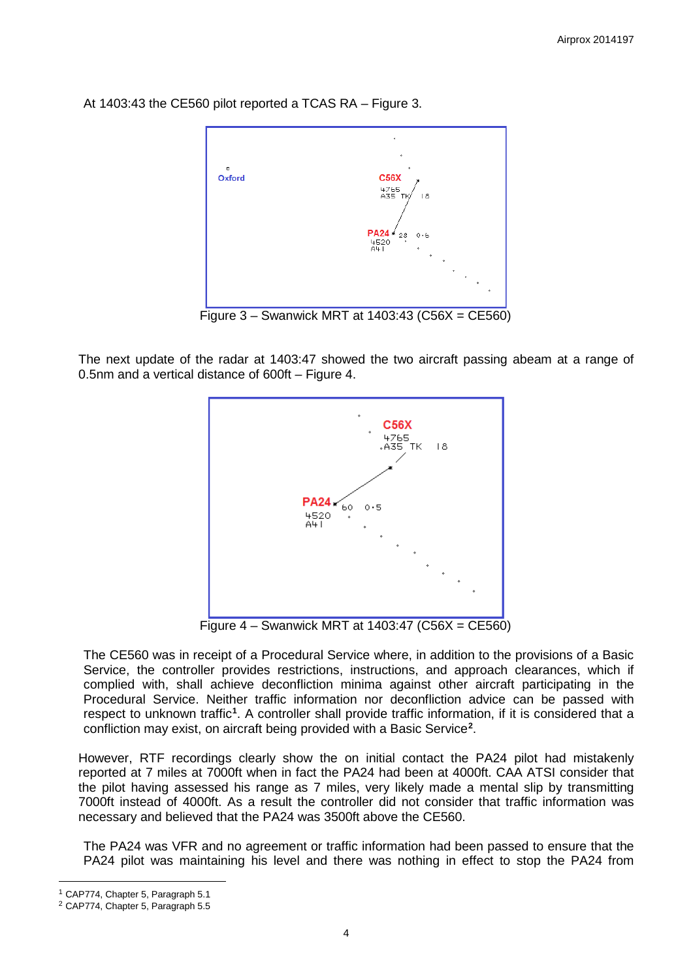At 1403:43 the CE560 pilot reported a TCAS RA – Figure 3.



Figure 3 – Swanwick MRT at 1403:43 (C56X = CE560)

The next update of the radar at 1403:47 showed the two aircraft passing abeam at a range of 0.5nm and a vertical distance of 600ft – Figure 4.



Figure 4 – Swanwick MRT at 1403:47 (C56X = CE560)

The CE560 was in receipt of a Procedural Service where, in addition to the provisions of a Basic Service, the controller provides restrictions, instructions, and approach clearances, which if complied with, shall achieve deconfliction minima against other aircraft participating in the Procedural Service. Neither traffic information nor deconfliction advice can be passed with respect to unknown traffic<sup>[1](#page-3-0)</sup>. A controller shall provide traffic information, if it is considered that a confliction may exist, on aircraft being provided with a Basic Service**[2](#page-3-1)** .

However, RTF recordings clearly show the on initial contact the PA24 pilot had mistakenly reported at 7 miles at 7000ft when in fact the PA24 had been at 4000ft. CAA ATSI consider that the pilot having assessed his range as 7 miles, very likely made a mental slip by transmitting 7000ft instead of 4000ft. As a result the controller did not consider that traffic information was necessary and believed that the PA24 was 3500ft above the CE560.

The PA24 was VFR and no agreement or traffic information had been passed to ensure that the PA24 pilot was maintaining his level and there was nothing in effect to stop the PA24 from

l

<span id="page-3-0"></span><sup>1</sup> CAP774, Chapter 5, Paragraph 5.1

<span id="page-3-1"></span><sup>2</sup> CAP774, Chapter 5, Paragraph 5.5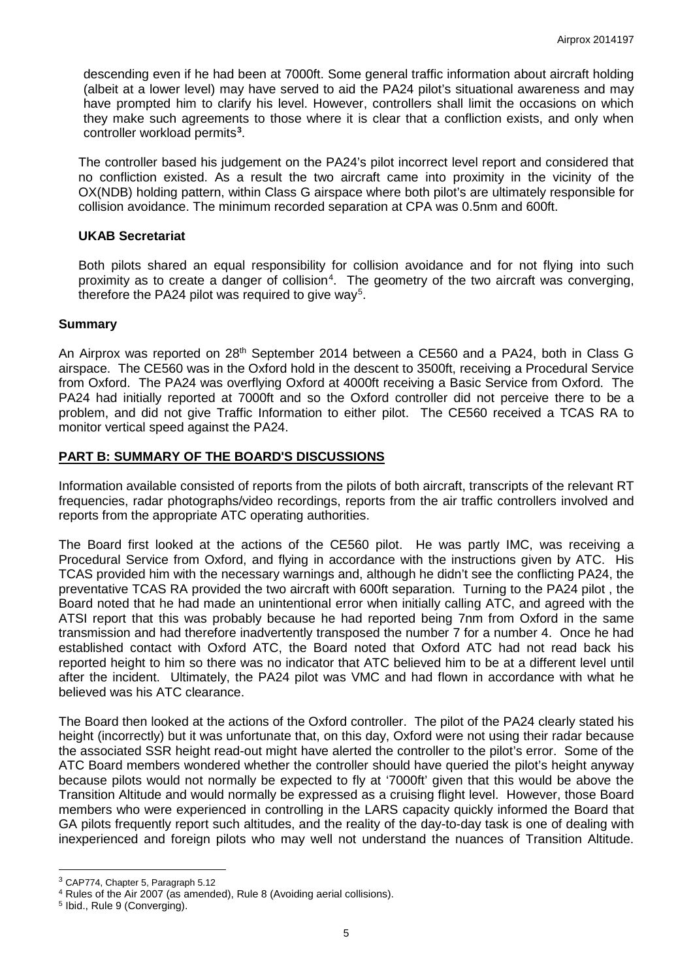descending even if he had been at 7000ft. Some general traffic information about aircraft holding (albeit at a lower level) may have served to aid the PA24 pilot's situational awareness and may have prompted him to clarify his level. However, controllers shall limit the occasions on which they make such agreements to those where it is clear that a confliction exists, and only when controller workload permits**[3](#page-4-0)** .

The controller based his judgement on the PA24's pilot incorrect level report and considered that no confliction existed. As a result the two aircraft came into proximity in the vicinity of the OX(NDB) holding pattern, within Class G airspace where both pilot's are ultimately responsible for collision avoidance. The minimum recorded separation at CPA was 0.5nm and 600ft.

## **UKAB Secretariat**

Both pilots shared an equal responsibility for collision avoidance and for not flying into such proximity as to create a danger of collision<sup>[4](#page-4-1)</sup>. The geometry of the two aircraft was converging, therefore the PA24 pilot was required to give way<sup>[5](#page-4-2)</sup>.

## **Summary**

An Airprox was reported on 28<sup>th</sup> September 2014 between a CE560 and a PA24, both in Class G airspace. The CE560 was in the Oxford hold in the descent to 3500ft, receiving a Procedural Service from Oxford. The PA24 was overflying Oxford at 4000ft receiving a Basic Service from Oxford. The PA24 had initially reported at 7000ft and so the Oxford controller did not perceive there to be a problem, and did not give Traffic Information to either pilot. The CE560 received a TCAS RA to monitor vertical speed against the PA24.

## **PART B: SUMMARY OF THE BOARD'S DISCUSSIONS**

Information available consisted of reports from the pilots of both aircraft, transcripts of the relevant RT frequencies, radar photographs/video recordings, reports from the air traffic controllers involved and reports from the appropriate ATC operating authorities.

The Board first looked at the actions of the CE560 pilot. He was partly IMC, was receiving a Procedural Service from Oxford, and flying in accordance with the instructions given by ATC. His TCAS provided him with the necessary warnings and, although he didn't see the conflicting PA24, the preventative TCAS RA provided the two aircraft with 600ft separation. Turning to the PA24 pilot , the Board noted that he had made an unintentional error when initially calling ATC, and agreed with the ATSI report that this was probably because he had reported being 7nm from Oxford in the same transmission and had therefore inadvertently transposed the number 7 for a number 4. Once he had established contact with Oxford ATC, the Board noted that Oxford ATC had not read back his reported height to him so there was no indicator that ATC believed him to be at a different level until after the incident. Ultimately, the PA24 pilot was VMC and had flown in accordance with what he believed was his ATC clearance.

The Board then looked at the actions of the Oxford controller. The pilot of the PA24 clearly stated his height (incorrectly) but it was unfortunate that, on this day, Oxford were not using their radar because the associated SSR height read-out might have alerted the controller to the pilot's error. Some of the ATC Board members wondered whether the controller should have queried the pilot's height anyway because pilots would not normally be expected to fly at '7000ft' given that this would be above the Transition Altitude and would normally be expressed as a cruising flight level. However, those Board members who were experienced in controlling in the LARS capacity quickly informed the Board that GA pilots frequently report such altitudes, and the reality of the day-to-day task is one of dealing with inexperienced and foreign pilots who may well not understand the nuances of Transition Altitude.

 $\overline{\phantom{a}}$ 

<span id="page-4-0"></span><sup>3</sup> CAP774, Chapter 5, Paragraph 5.12

<span id="page-4-1"></span><sup>4</sup> Rules of the Air 2007 (as amended), Rule 8 (Avoiding aerial collisions).

<span id="page-4-2"></span><sup>5</sup> Ibid., Rule 9 (Converging).